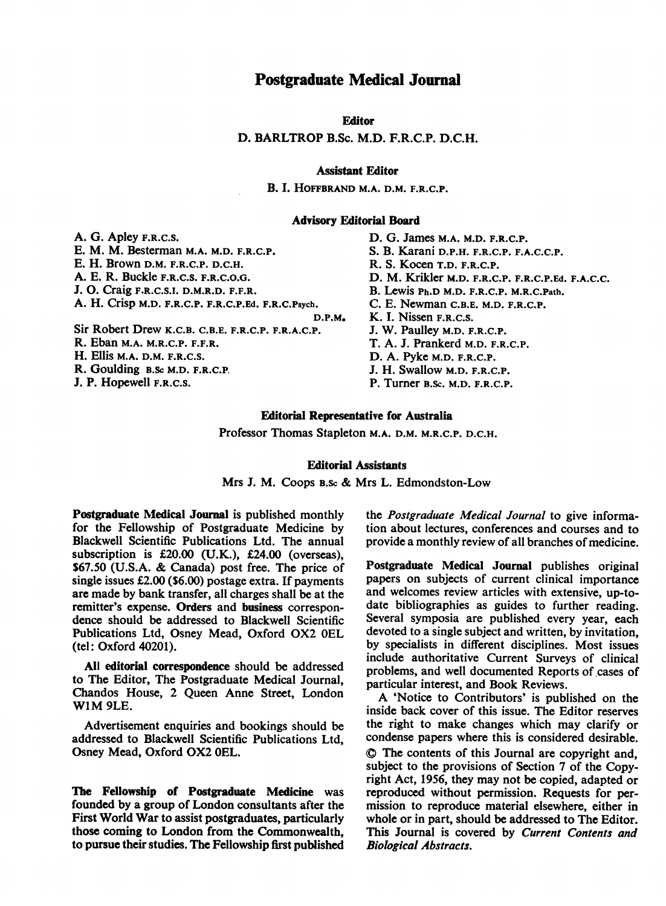## Postgraduate Medical Journal

Editor

D. BARLTROP B.Sc. M.D. F.R.C.P. D.C.H.

### Assistant Editor

B. I. HOFFBRAND M.A. D.M. F.R.C.P.

#### Advisorv Editorial Board

A. G. Apley F.R.C.S. E. M. M. Besterman M.A. M.D. F.R.C.P. E. H. Brown D.M. F.R.C.P. D.C.H. A. E. R. Buckle F.R.C.S. F.R.C.O.G. J. 0. Craig F.R.C.S.I. D.M.R.D. F.F.R. A. H. Crisp M.D. F.R.C.P. F.R.C.P.Ed. F.R.C.Psych. D.P.M. Sir Robert Drew K.C.B. C.B.E. F.R.C.P. F.R.A.C.P. R. Eban M.A. M.R.C.P. F.F.R. H. Ellis M.A. D.M. F.R.C.S. R. Goulding B.Sc M.D. F.R.C.P, J. P. Hopewell F.R.C.S.

D. G. James M.A. M.D. F.R.C.P. S. B. Karani D.P.H. F.R.C.P. F.A.C.C.P. R. S. Kocen T.D. F.R.C.P. D. M. Krikler M.D. F.R.C.P. F.R.C.P.Ed. F.A.C.C. B. Lewis Ph.D M.D. F.R.C.P. M.R.C.Path. C. E. Newman C.B.E. M.D. F.R.C.P. K. I. Nissen F.R.C.S. J. W. Paulley M.D. F.R.C.P. T. A. J. Prankerd M.D. F.R.C.P. D. A. Pyke M.D. F.R.C.P. J. H. Swallow M.D. F.R.C.P. P. Turner B.Sc. M.D. F.R.C.P.

### Editorial Representative for Australia

Professor Thomas Stapleton M.A. D.M. M.R.C.P. D.C.H.

#### Editorial Assistants

Mrs J. M. Coops B.Sc & Mrs L. Edmondston-Low

Postgraduate Medical Journal is published monthly for the Fellowship of Postgraduate Medicine by Blackwell Scientific Publications Ltd. The annual subscription is £20.00 (U.K.), £24.00 (overseas), \$67.50 (U.S.A. & Canada) post free. The price of single issues £2.00 (\$6.00) postage extra. If payments are made by bank transfer, all charges shall be at the remitter's expense. Orders and business correspondence should be addressed to Blackwell Scientific Publications Ltd, Osney Mead, Oxford OX2 OEL (tel: Oxford 40201).

All editorial correspondence should be addressed to The Editor, The Postgraduate Medical Journal, Chandos House, 2 Queen Anne Street, London WIM 9LE.

Advertisement enquiries and bookings should be addressed to Blackwell Scientific Publications Ltd, Osney Mead, Oxford OX2 OEL.

The Fellowship of Postgraduate Medicine was founded by a group of London consultants after the First World War to assist postgraduates, particularly those coming to London from the Commonwealth, to pursue their studies. The Fellowship first published the Postgraduate Medical Journal to give information about lectures, conferences and courses and to provide a monthly review of all branches of medicine.

Postgraduate Medical Journal publishes original papers on subjects of current clinical importance and welcomes review articles with extensive, up-todate bibliographies as guides to further reading. Several symposia are published every year, each devoted to a single subject and written, by invitation, by specialists in different disciplines. Most issues include authoritative Current Surveys of clinical problems, and well documented Reports of cases of particular interest, and Book Reviews.

A 'Notice to Contributors' is published on the inside back cover of this issue. The Editor reserves the right to make changes which may clarify or condense papers where this is considered desirable. @) The contents of this Journal are copyright and, subject to the provisions of Section 7 of the Copyright Act, 1956, they may not be copied, adapted or reproduced without permission. Requests for permission to reproduce material elsewhere, either in whole or in part, should be addressed to The Editor. This Journal is covered by Current Contents and Biological Abstracts.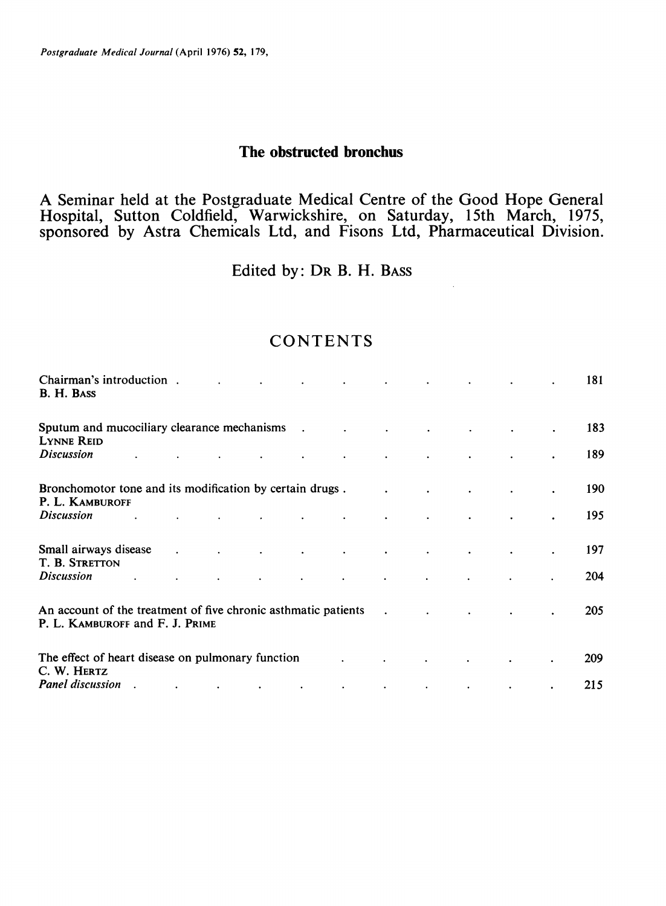Postgraduate Medical Journal (April 1976) 52, 179,

## The obstructed bronchus

A Seminar held at the Postgraduate Medical Centre of the Good Hope General Hospital, Sutton Coldfield, Warwickshire, on Saturday, 15th March, 1975, sponsored by Astra Chemicals Ltd, and Fisons Ltd, Pharmaceutical Division.

Edited by: DR B. H. BASS

# **CONTENTS**

| Chairman's introduction.<br>B. H. BASS                                                                          |           | $\mathbf{A}$      |                          |                          | $\bullet$                |                          |                      |                      |  | 181        |
|-----------------------------------------------------------------------------------------------------------------|-----------|-------------------|--------------------------|--------------------------|--------------------------|--------------------------|----------------------|----------------------|--|------------|
| Sputum and mucociliary clearance mechanisms .<br><b>LYNNE REID</b>                                              |           |                   |                          |                          | $\sim 100$               | <b>Contract Contract</b> |                      |                      |  | 183        |
| <b>Discussion</b>                                                                                               |           |                   |                          |                          |                          |                          |                      |                      |  | 189        |
| Bronchomotor tone and its modification by certain drugs.<br>P. L. KAMBUROFF                                     |           |                   |                          |                          |                          |                          |                      |                      |  | 190        |
| <b>Discussion</b>                                                                                               |           |                   | $\Delta \sim 100$        | $\mathcal{L}$            |                          |                          |                      |                      |  | 195        |
| Small airways disease .<br>T. B. STRETTON                                                                       |           | <b>Contractor</b> | $\sim$                   | $\sim$                   | $\bullet$                | $\bullet$                | $\bullet$            | $\bullet$            |  | 197        |
| <b>Discussion</b>                                                                                               |           |                   | $\bullet$                | $\bullet$                | $\bullet$                | $\bullet$                | $\bullet$            |                      |  | 204        |
| An account of the treatment of five chronic asthmatic patients<br>$\sim 100$<br>P. L. KAMBUROFF and F. J. PRIME |           |                   |                          |                          |                          |                          | $\ddot{\phantom{a}}$ | $\ddot{\phantom{a}}$ |  | <b>205</b> |
| The effect of heart disease on pulmonary function<br>C. W. HERTZ                                                |           |                   |                          |                          |                          |                          |                      | $\bullet$            |  | 209        |
| <b>Panel discussion</b>                                                                                         | $\bullet$ | $\sim$ 100 $\pm$  | <b>Contract Contract</b> | <b>Contract Contract</b> | <b>Contract Contract</b> | $\sim$ 100 $\pm$         | $\sim$ 100 $\pm$     | $\bullet$            |  | 215        |